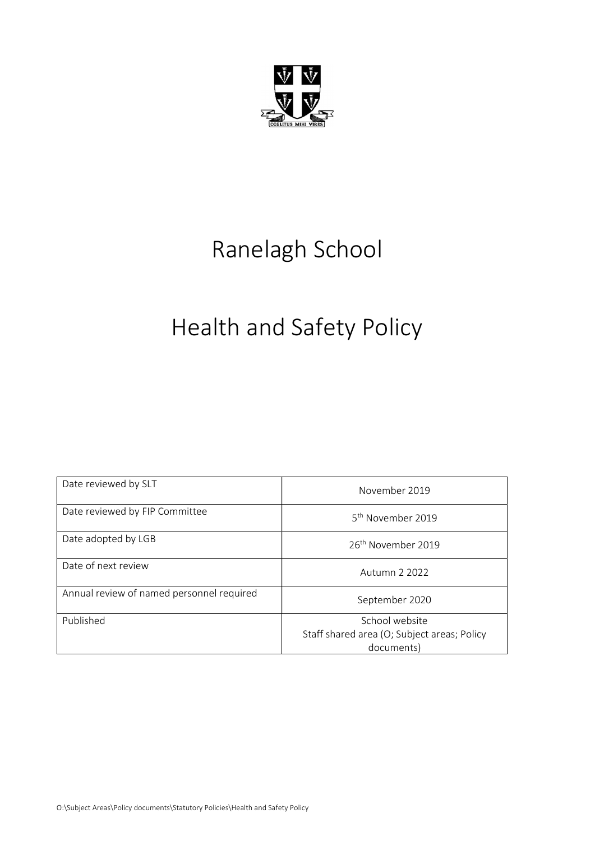

# Ranelagh School

# Health and Safety Policy

| Date reviewed by SLT                      | November 2019                                                               |
|-------------------------------------------|-----------------------------------------------------------------------------|
| Date reviewed by FIP Committee            | 5 <sup>th</sup> November 2019                                               |
| Date adopted by LGB                       | 26 <sup>th</sup> November 2019                                              |
| Date of next review                       | Autumn 2 2022                                                               |
| Annual review of named personnel required | September 2020                                                              |
| Published                                 | School website<br>Staff shared area (O; Subject areas; Policy<br>documents) |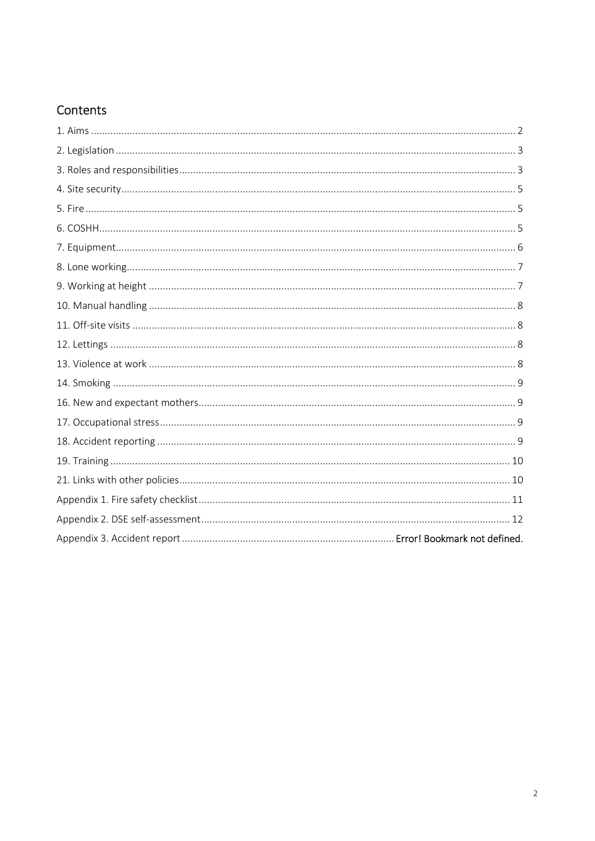# Contents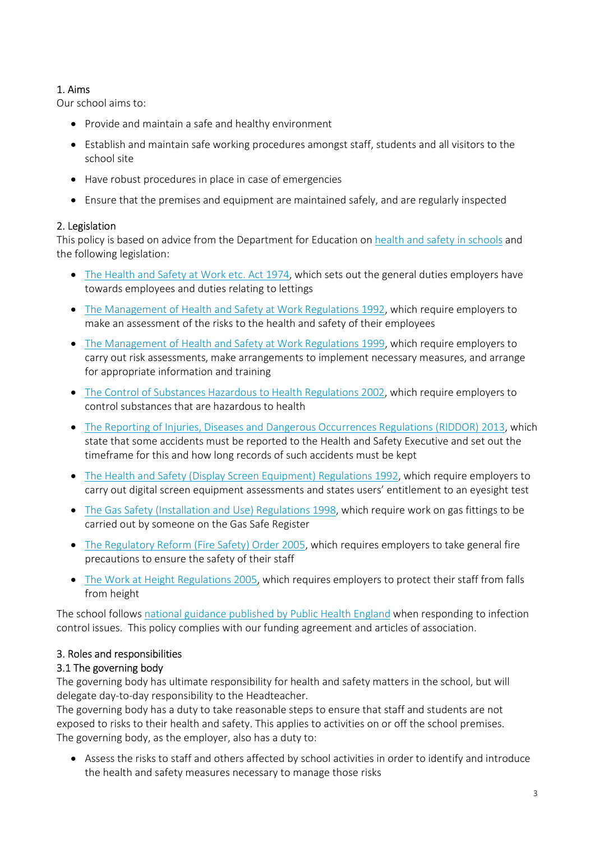# 1. Aims

Our school aims to:

- Provide and maintain a safe and healthy environment
- Establish and maintain safe working procedures amongst staff, students and all visitors to the school site
- Have robust procedures in place in case of emergencies
- Ensure that the premises and equipment are maintained safely, and are regularly inspected

# 2. Legislation

This policy is based on advice from the Department for Education on health and safety in schools and the following legislation:

- The Health and Safety at Work etc. Act 1974, which sets out the general duties employers have towards employees and duties relating to lettings
- The Management of Health and Safety at Work Regulations 1992, which require employers to make an assessment of the risks to the health and safety of their employees
- The Management of Health and Safety at Work Regulations 1999, which require employers to carry out risk assessments, make arrangements to implement necessary measures, and arrange for appropriate information and training
- The Control of Substances Hazardous to Health Regulations 2002, which require employers to control substances that are hazardous to health
- The Reporting of Injuries, Diseases and Dangerous Occurrences Regulations (RIDDOR) 2013, which state that some accidents must be reported to the Health and Safety Executive and set out the timeframe for this and how long records of such accidents must be kept
- The Health and Safety (Display Screen Equipment) Regulations 1992, which require employers to carry out digital screen equipment assessments and states users' entitlement to an eyesight test
- The Gas Safety (Installation and Use) Regulations 1998, which require work on gas fittings to be carried out by someone on the Gas Safe Register
- The Regulatory Reform (Fire Safety) Order 2005, which requires employers to take general fire precautions to ensure the safety of their staff
- The Work at Height Regulations 2005, which requires employers to protect their staff from falls from height

The school follows national guidance published by Public Health England when responding to infection control issues. This policy complies with our funding agreement and articles of association.

# 3. Roles and responsibilities

# 3.1 The governing body

The governing body has ultimate responsibility for health and safety matters in the school, but will delegate day-to-day responsibility to the Headteacher.

The governing body has a duty to take reasonable steps to ensure that staff and students are not exposed to risks to their health and safety. This applies to activities on or off the school premises. The governing body, as the employer, also has a duty to:

 Assess the risks to staff and others affected by school activities in order to identify and introduce the health and safety measures necessary to manage those risks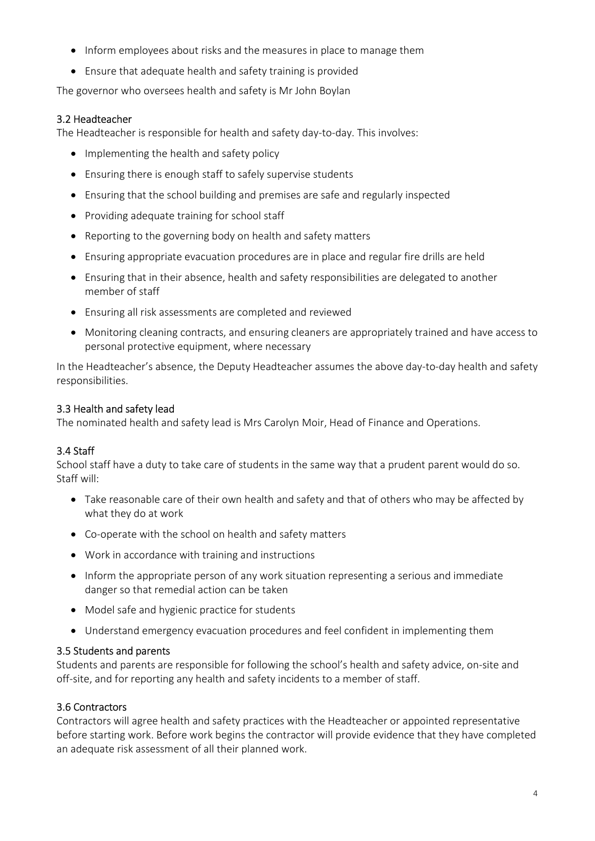- Inform employees about risks and the measures in place to manage them
- Ensure that adequate health and safety training is provided

The governor who oversees health and safety is Mr John Boylan

# 3.2 Headteacher

The Headteacher is responsible for health and safety day-to-day. This involves:

- Implementing the health and safety policy
- Ensuring there is enough staff to safely supervise students
- Ensuring that the school building and premises are safe and regularly inspected
- Providing adequate training for school staff
- Reporting to the governing body on health and safety matters
- Ensuring appropriate evacuation procedures are in place and regular fire drills are held
- Ensuring that in their absence, health and safety responsibilities are delegated to another member of staff
- Ensuring all risk assessments are completed and reviewed
- Monitoring cleaning contracts, and ensuring cleaners are appropriately trained and have access to personal protective equipment, where necessary

In the Headteacher's absence, the Deputy Headteacher assumes the above day-to-day health and safety responsibilities.

# 3.3 Health and safety lead

The nominated health and safety lead is Mrs Carolyn Moir, Head of Finance and Operations.

# 3.4 Staff

School staff have a duty to take care of students in the same way that a prudent parent would do so. Staff will:

- Take reasonable care of their own health and safety and that of others who may be affected by what they do at work
- Co-operate with the school on health and safety matters
- Work in accordance with training and instructions
- Inform the appropriate person of any work situation representing a serious and immediate danger so that remedial action can be taken
- Model safe and hygienic practice for students
- Understand emergency evacuation procedures and feel confident in implementing them

# 3.5 Students and parents

Students and parents are responsible for following the school's health and safety advice, on-site and off-site, and for reporting any health and safety incidents to a member of staff.

# 3.6 Contractors

Contractors will agree health and safety practices with the Headteacher or appointed representative before starting work. Before work begins the contractor will provide evidence that they have completed an adequate risk assessment of all their planned work.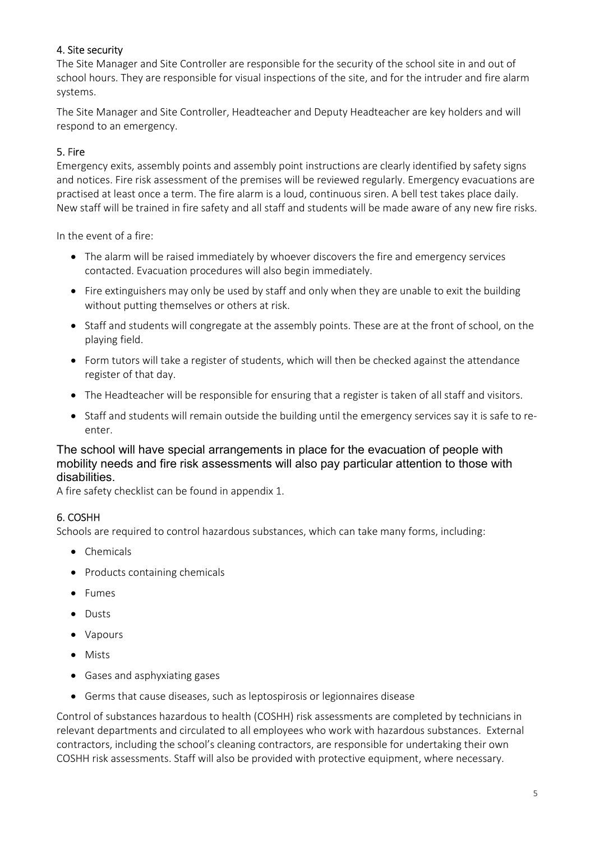# 4. Site security

The Site Manager and Site Controller are responsible for the security of the school site in and out of school hours. They are responsible for visual inspections of the site, and for the intruder and fire alarm systems.

The Site Manager and Site Controller, Headteacher and Deputy Headteacher are key holders and will respond to an emergency.

# 5. Fire

Emergency exits, assembly points and assembly point instructions are clearly identified by safety signs and notices. Fire risk assessment of the premises will be reviewed regularly. Emergency evacuations are practised at least once a term. The fire alarm is a loud, continuous siren. A bell test takes place daily. New staff will be trained in fire safety and all staff and students will be made aware of any new fire risks.

In the event of a fire:

- The alarm will be raised immediately by whoever discovers the fire and emergency services contacted. Evacuation procedures will also begin immediately.
- Fire extinguishers may only be used by staff and only when they are unable to exit the building without putting themselves or others at risk.
- Staff and students will congregate at the assembly points. These are at the front of school, on the playing field.
- Form tutors will take a register of students, which will then be checked against the attendance register of that day.
- The Headteacher will be responsible for ensuring that a register is taken of all staff and visitors.
- Staff and students will remain outside the building until the emergency services say it is safe to reenter.

# The school will have special arrangements in place for the evacuation of people with mobility needs and fire risk assessments will also pay particular attention to those with disabilities.

A fire safety checklist can be found in appendix 1.

# 6. COSHH

Schools are required to control hazardous substances, which can take many forms, including:

- Chemicals
- Products containing chemicals
- Fumes
- Dusts
- Vapours
- Mists
- Gases and asphyxiating gases
- Germs that cause diseases, such as leptospirosis or legionnaires disease

Control of substances hazardous to health (COSHH) risk assessments are completed by technicians in relevant departments and circulated to all employees who work with hazardous substances. External contractors, including the school's cleaning contractors, are responsible for undertaking their own COSHH risk assessments. Staff will also be provided with protective equipment, where necessary.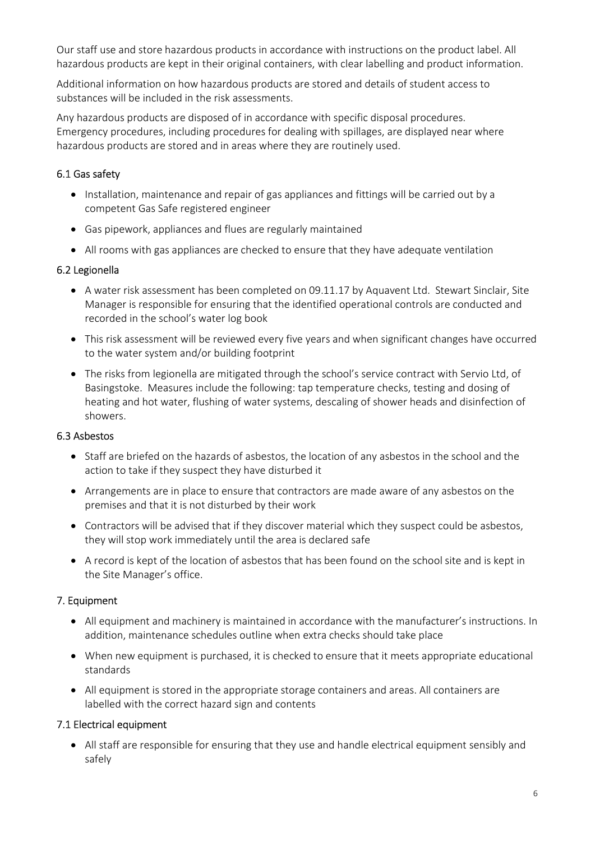Our staff use and store hazardous products in accordance with instructions on the product label. All hazardous products are kept in their original containers, with clear labelling and product information.

Additional information on how hazardous products are stored and details of student access to substances will be included in the risk assessments.

Any hazardous products are disposed of in accordance with specific disposal procedures. Emergency procedures, including procedures for dealing with spillages, are displayed near where hazardous products are stored and in areas where they are routinely used.

# 6.1 Gas safety

- Installation, maintenance and repair of gas appliances and fittings will be carried out by a competent Gas Safe registered engineer
- Gas pipework, appliances and flues are regularly maintained
- All rooms with gas appliances are checked to ensure that they have adequate ventilation

# 6.2 Legionella

- A water risk assessment has been completed on 09.11.17 by Aquavent Ltd. Stewart Sinclair, Site Manager is responsible for ensuring that the identified operational controls are conducted and recorded in the school's water log book
- This risk assessment will be reviewed every five years and when significant changes have occurred to the water system and/or building footprint
- The risks from legionella are mitigated through the school's service contract with Servio Ltd, of Basingstoke. Measures include the following: tap temperature checks, testing and dosing of heating and hot water, flushing of water systems, descaling of shower heads and disinfection of showers.

# 6.3 Asbestos

- Staff are briefed on the hazards of asbestos, the location of any asbestos in the school and the action to take if they suspect they have disturbed it
- Arrangements are in place to ensure that contractors are made aware of any asbestos on the premises and that it is not disturbed by their work
- Contractors will be advised that if they discover material which they suspect could be asbestos, they will stop work immediately until the area is declared safe
- A record is kept of the location of asbestos that has been found on the school site and is kept in the Site Manager's office.

# 7. Equipment

- All equipment and machinery is maintained in accordance with the manufacturer's instructions. In addition, maintenance schedules outline when extra checks should take place
- When new equipment is purchased, it is checked to ensure that it meets appropriate educational standards
- All equipment is stored in the appropriate storage containers and areas. All containers are labelled with the correct hazard sign and contents

# 7.1 Electrical equipment

 All staff are responsible for ensuring that they use and handle electrical equipment sensibly and safely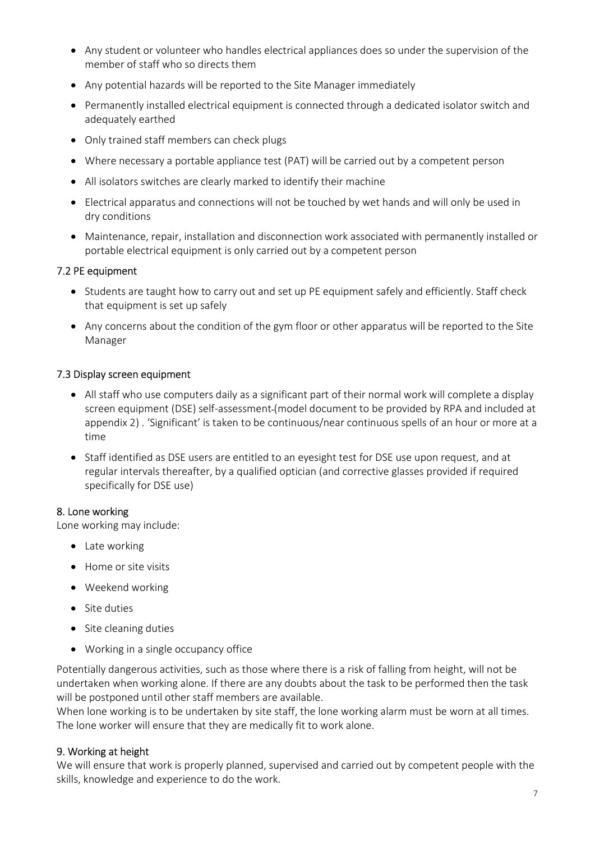- Any student or volunteer who handles electrical appliances does so under the supervision of the member of staff who so directs them
- Any potential hazards will be reported to the Site Manager immediately
- Permanently installed electrical equipment is connected through a dedicated isolator switch and adequately earthed
- Only trained staff members can check plugs
- Where necessary a portable appliance test (PAT) will be carried out by a competent person
- All isolators switches are clearly marked to identify their machine
- Electrical apparatus and connections will not be touched by wet hands and will only be used in dry conditions
- Maintenance, repair, installation and disconnection work associated with permanently installed or portable electrical equipment is only carried out by a competent person

#### 7.2 PE equipment

- Students are taught how to carry out and set up PE equipment safely and efficiently. Staff check that equipment is set up safely
- Any concerns about the condition of the gym floor or other apparatus will be reported to the Site Manager

#### 7.3 Display screen equipment

- All staff who use computers daily as a significant part of their normal work will complete a display screen equipment (DSE) self-assessment (model document to be provided by RPA and included at appendix 2) . 'Significant' is taken to be continuous/near continuous spells of an hour or more at a time
- Staff identified as DSE users are entitled to an eyesight test for DSE use upon request, and at regular intervals thereafter, by a qualified optician (and corrective glasses provided if required specifically for DSE use)

#### 8. Lone working

Lone working may include:

- Late working
- Home or site visits
- Weekend working
- **Site duties**
- Site cleaning duties
- Working in a single occupancy office

Potentially dangerous activities, such as those where there is a risk of falling from height, will not be undertaken when working alone. If there are any doubts about the task to be performed then the task will be postponed until other staff members are available.

When lone working is to be undertaken by site staff, the lone working alarm must be worn at all times. The lone worker will ensure that they are medically fit to work alone.

#### 9. Working at height

We will ensure that work is properly planned, supervised and carried out by competent people with the skills, knowledge and experience to do the work.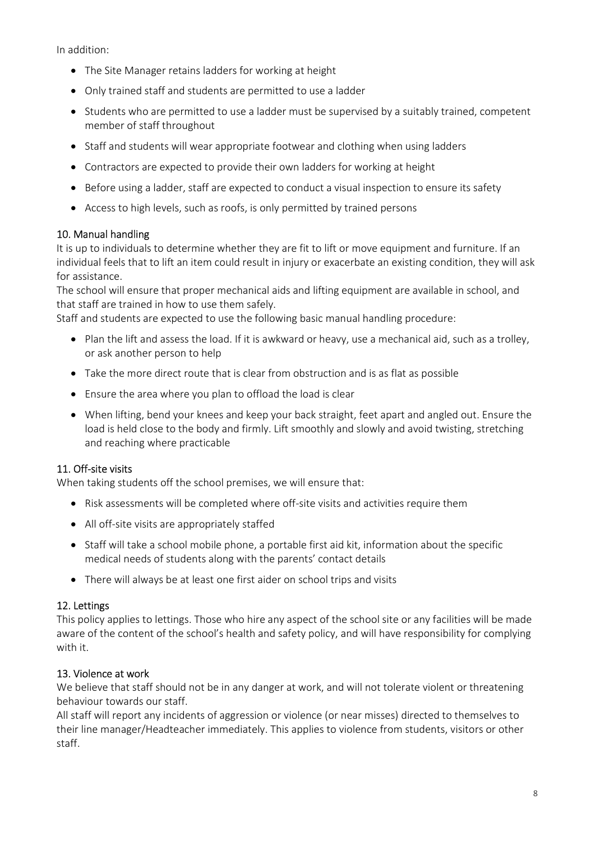In addition:

- The Site Manager retains ladders for working at height
- Only trained staff and students are permitted to use a ladder
- Students who are permitted to use a ladder must be supervised by a suitably trained, competent member of staff throughout
- Staff and students will wear appropriate footwear and clothing when using ladders
- Contractors are expected to provide their own ladders for working at height
- Before using a ladder, staff are expected to conduct a visual inspection to ensure its safety
- Access to high levels, such as roofs, is only permitted by trained persons

#### 10. Manual handling

It is up to individuals to determine whether they are fit to lift or move equipment and furniture. If an individual feels that to lift an item could result in injury or exacerbate an existing condition, they will ask for assistance.

The school will ensure that proper mechanical aids and lifting equipment are available in school, and that staff are trained in how to use them safely.

Staff and students are expected to use the following basic manual handling procedure:

- Plan the lift and assess the load. If it is awkward or heavy, use a mechanical aid, such as a trolley, or ask another person to help
- Take the more direct route that is clear from obstruction and is as flat as possible
- Ensure the area where you plan to offload the load is clear
- When lifting, bend your knees and keep your back straight, feet apart and angled out. Ensure the load is held close to the body and firmly. Lift smoothly and slowly and avoid twisting, stretching and reaching where practicable

# 11. Off-site visits

When taking students off the school premises, we will ensure that:

- Risk assessments will be completed where off-site visits and activities require them
- All off-site visits are appropriately staffed
- Staff will take a school mobile phone, a portable first aid kit, information about the specific medical needs of students along with the parents' contact details
- There will always be at least one first aider on school trips and visits

#### 12. Lettings

This policy applies to lettings. Those who hire any aspect of the school site or any facilities will be made aware of the content of the school's health and safety policy, and will have responsibility for complying with it.

#### 13. Violence at work

We believe that staff should not be in any danger at work, and will not tolerate violent or threatening behaviour towards our staff.

All staff will report any incidents of aggression or violence (or near misses) directed to themselves to their line manager/Headteacher immediately. This applies to violence from students, visitors or other staff.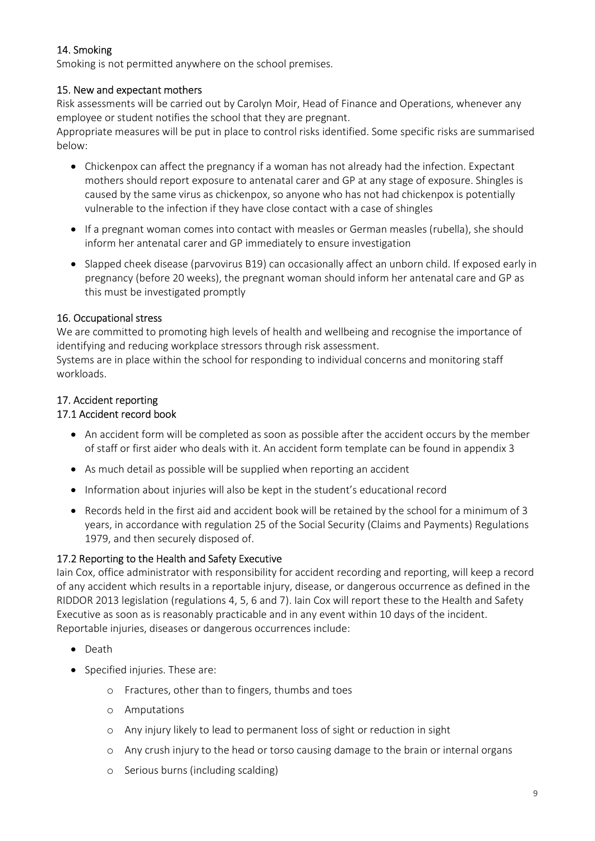# 14. Smoking

Smoking is not permitted anywhere on the school premises.

# 15. New and expectant mothers

Risk assessments will be carried out by Carolyn Moir, Head of Finance and Operations, whenever any employee or student notifies the school that they are pregnant.

Appropriate measures will be put in place to control risks identified. Some specific risks are summarised below:

- Chickenpox can affect the pregnancy if a woman has not already had the infection. Expectant mothers should report exposure to antenatal carer and GP at any stage of exposure. Shingles is caused by the same virus as chickenpox, so anyone who has not had chickenpox is potentially vulnerable to the infection if they have close contact with a case of shingles
- If a pregnant woman comes into contact with measles or German measles (rubella), she should inform her antenatal carer and GP immediately to ensure investigation
- Slapped cheek disease (parvovirus B19) can occasionally affect an unborn child. If exposed early in pregnancy (before 20 weeks), the pregnant woman should inform her antenatal care and GP as this must be investigated promptly

# 16. Occupational stress

We are committed to promoting high levels of health and wellbeing and recognise the importance of identifying and reducing workplace stressors through risk assessment.

Systems are in place within the school for responding to individual concerns and monitoring staff workloads.

# 17. Accident reporting

# 17.1 Accident record book

- An accident form will be completed as soon as possible after the accident occurs by the member of staff or first aider who deals with it. An accident form template can be found in appendix 3
- As much detail as possible will be supplied when reporting an accident
- Information about injuries will also be kept in the student's educational record
- Records held in the first aid and accident book will be retained by the school for a minimum of 3 years, in accordance with regulation 25 of the Social Security (Claims and Payments) Regulations 1979, and then securely disposed of.

# 17.2 Reporting to the Health and Safety Executive

Iain Cox, office administrator with responsibility for accident recording and reporting, will keep a record of any accident which results in a reportable injury, disease, or dangerous occurrence as defined in the RIDDOR 2013 legislation (regulations 4, 5, 6 and 7). Iain Cox will report these to the Health and Safety Executive as soon as is reasonably practicable and in any event within 10 days of the incident. Reportable injuries, diseases or dangerous occurrences include:

- Death
- Specified injuries. These are:
	- o Fractures, other than to fingers, thumbs and toes
	- o Amputations
	- o Any injury likely to lead to permanent loss of sight or reduction in sight
	- o Any crush injury to the head or torso causing damage to the brain or internal organs
	- o Serious burns (including scalding)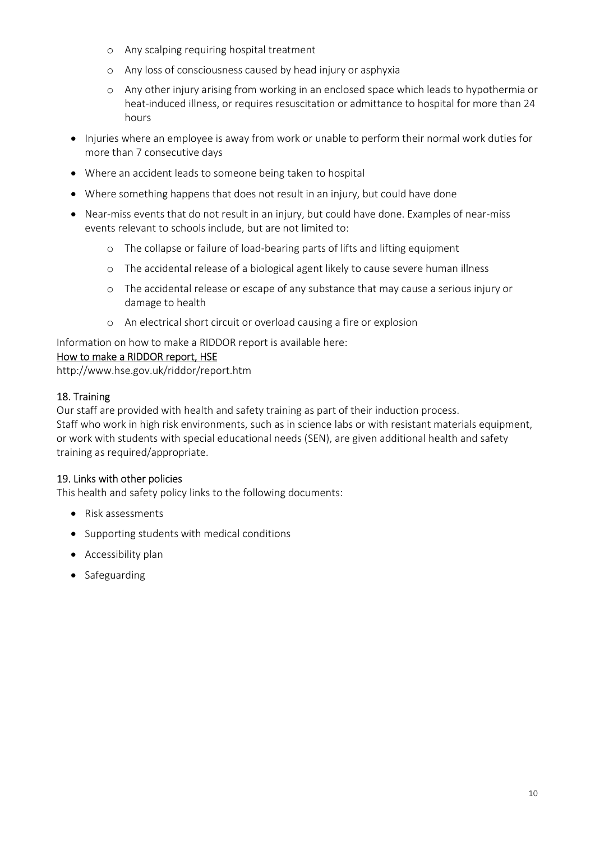- o Any scalping requiring hospital treatment
- o Any loss of consciousness caused by head injury or asphyxia
- o Any other injury arising from working in an enclosed space which leads to hypothermia or heat-induced illness, or requires resuscitation or admittance to hospital for more than 24 hours
- Injuries where an employee is away from work or unable to perform their normal work duties for more than 7 consecutive days
- Where an accident leads to someone being taken to hospital
- Where something happens that does not result in an injury, but could have done
- Near-miss events that do not result in an injury, but could have done. Examples of near-miss events relevant to schools include, but are not limited to:
	- o The collapse or failure of load-bearing parts of lifts and lifting equipment
	- o The accidental release of a biological agent likely to cause severe human illness
	- o The accidental release or escape of any substance that may cause a serious injury or damage to health
	- o An electrical short circuit or overload causing a fire or explosion

Information on how to make a RIDDOR report is available here:

#### How to make a RIDDOR report, HSE

http://www.hse.gov.uk/riddor/report.htm

# 18. Training

Our staff are provided with health and safety training as part of their induction process. Staff who work in high risk environments, such as in science labs or with resistant materials equipment, or work with students with special educational needs (SEN), are given additional health and safety training as required/appropriate.

# 19. Links with other policies

This health and safety policy links to the following documents:

- Risk assessments
- Supporting students with medical conditions
- Accessibility plan
- Safeguarding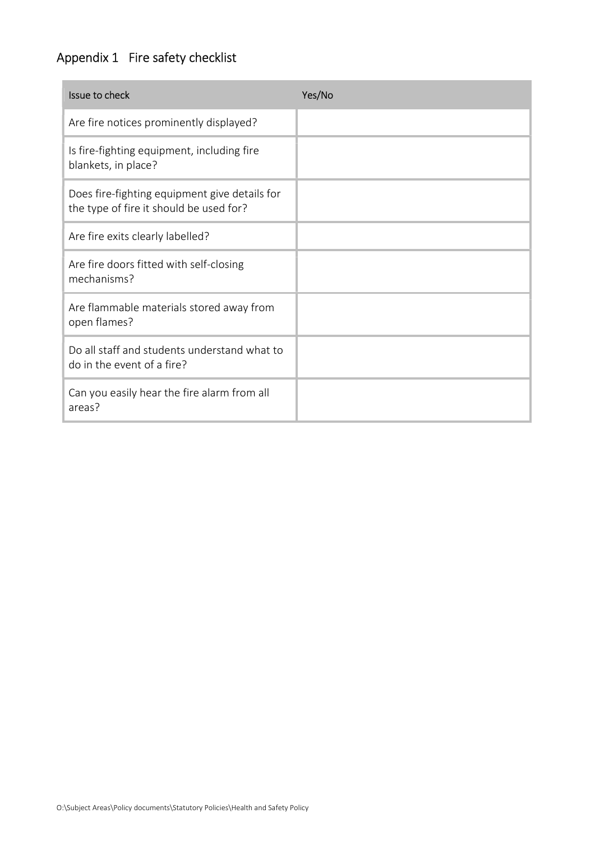# Appendix 1 Fire safety checklist

| Issue to check                                                                           | Yes/No |
|------------------------------------------------------------------------------------------|--------|
| Are fire notices prominently displayed?                                                  |        |
| Is fire-fighting equipment, including fire<br>blankets, in place?                        |        |
| Does fire-fighting equipment give details for<br>the type of fire it should be used for? |        |
| Are fire exits clearly labelled?                                                         |        |
| Are fire doors fitted with self-closing<br>mechanisms?                                   |        |
| Are flammable materials stored away from<br>open flames?                                 |        |
| Do all staff and students understand what to<br>do in the event of a fire?               |        |
| Can you easily hear the fire alarm from all<br>areas?                                    |        |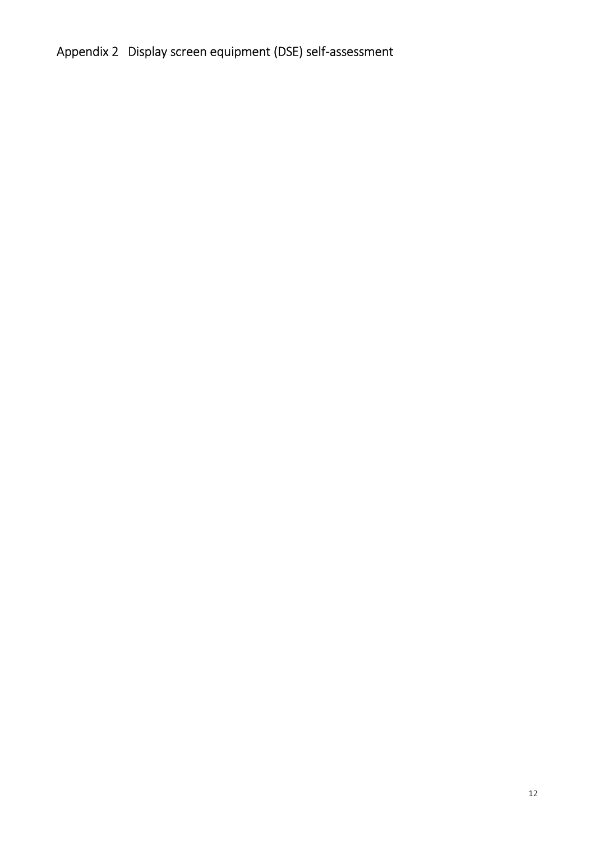# Appendix 2 Display screen equipment (DSE) self-assessment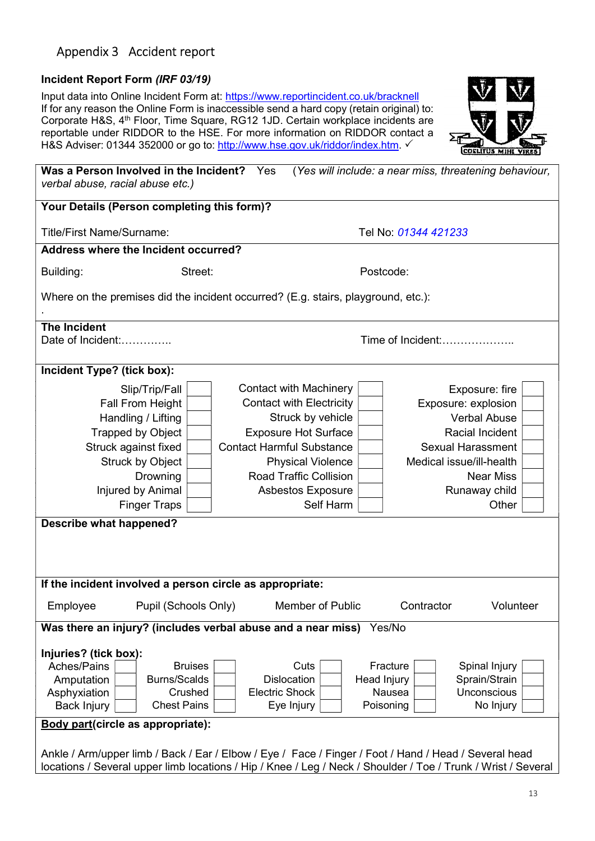# Appendix 3 Accident report

#### Incident Report Form (IRF 03/19)

Input data into Online Incident Form at: https://www.reportincident.co.uk/bracknell If for any reason the Online Form is inaccessible send a hard copy (retain original) to: Corporate H&S, 4th Floor, Time Square, RG12 1JD. Certain workplace incidents are reportable under RIDDOR to the HSE. For more information on RIDDOR contact a H&S Adviser: 01344 352000 or go to: http://www.hse.gov.uk/riddor/index.htm.



| Was a Person Involved in the Incident? Yes<br>verbal abuse, racial abuse etc.)                        |                                  | (Yes will include: a near miss, threatening behaviour,                                                        |
|-------------------------------------------------------------------------------------------------------|----------------------------------|---------------------------------------------------------------------------------------------------------------|
| Your Details (Person completing this form)?                                                           |                                  |                                                                                                               |
| <b>Title/First Name/Surname:</b>                                                                      |                                  | Tel No: 01344 421233                                                                                          |
| <b>Address where the Incident occurred?</b>                                                           |                                  |                                                                                                               |
| Building:<br>Street:                                                                                  |                                  | Postcode:                                                                                                     |
| Where on the premises did the incident occurred? (E.g. stairs, playground, etc.):                     |                                  |                                                                                                               |
| <b>The Incident</b>                                                                                   |                                  |                                                                                                               |
| Date of Incident:<br>Time of Incident:                                                                |                                  |                                                                                                               |
| Incident Type? (tick box):                                                                            |                                  |                                                                                                               |
| Slip/Trip/Fall                                                                                        | <b>Contact with Machinery</b>    | Exposure: fire                                                                                                |
| Fall From Height                                                                                      | <b>Contact with Electricity</b>  | Exposure: explosion                                                                                           |
| Handling / Lifting                                                                                    | Struck by vehicle                | <b>Verbal Abuse</b>                                                                                           |
| <b>Trapped by Object</b>                                                                              | <b>Exposure Hot Surface</b>      | Racial Incident                                                                                               |
| Struck against fixed                                                                                  | <b>Contact Harmful Substance</b> | <b>Sexual Harassment</b>                                                                                      |
| <b>Struck by Object</b>                                                                               | <b>Physical Violence</b>         | Medical issue/ill-health                                                                                      |
| Drowning                                                                                              | <b>Road Traffic Collision</b>    | <b>Near Miss</b>                                                                                              |
| Injured by Animal                                                                                     | Asbestos Exposure                | Runaway child                                                                                                 |
| <b>Finger Traps</b>                                                                                   | Self Harm                        | Other                                                                                                         |
| <b>Describe what happened?</b>                                                                        |                                  |                                                                                                               |
|                                                                                                       |                                  |                                                                                                               |
|                                                                                                       |                                  |                                                                                                               |
| If the incident involved a person circle as appropriate:                                              |                                  |                                                                                                               |
| Pupil (Schools Only)<br>Employee                                                                      | Member of Public                 | Volunteer<br>Contractor                                                                                       |
| Was there an injury? (includes verbal abuse and a near miss) Yes/No                                   |                                  |                                                                                                               |
| Injuries? (tick box):                                                                                 |                                  |                                                                                                               |
| Aches/Pains<br><b>Bruises</b>                                                                         | Cuts                             | Fracture<br>Spinal Injury                                                                                     |
| <b>Burns/Scalds</b><br>Amputation                                                                     | <b>Dislocation</b>               | Head Injury<br>Sprain/Strain                                                                                  |
| Crushed<br>Asphyxiation                                                                               | <b>Electric Shock</b>            | Nausea<br><b>Unconscious</b>                                                                                  |
| <b>Chest Pains</b><br><b>Back Injury</b>                                                              | Eye Injury                       | No Injury<br>Poisoning                                                                                        |
| <b>Body part(circle as appropriate):</b>                                                              |                                  |                                                                                                               |
| Ankle / Arm/upper limb / Back / Ear / Elbow / Eye / Face / Finger / Foot / Hand / Head / Several head |                                  |                                                                                                               |
|                                                                                                       |                                  |                                                                                                               |
|                                                                                                       |                                  | locations / Several upper limb locations / Hip / Knee / Leg / Neck / Shoulder / Toe / Trunk / Wrist / Several |